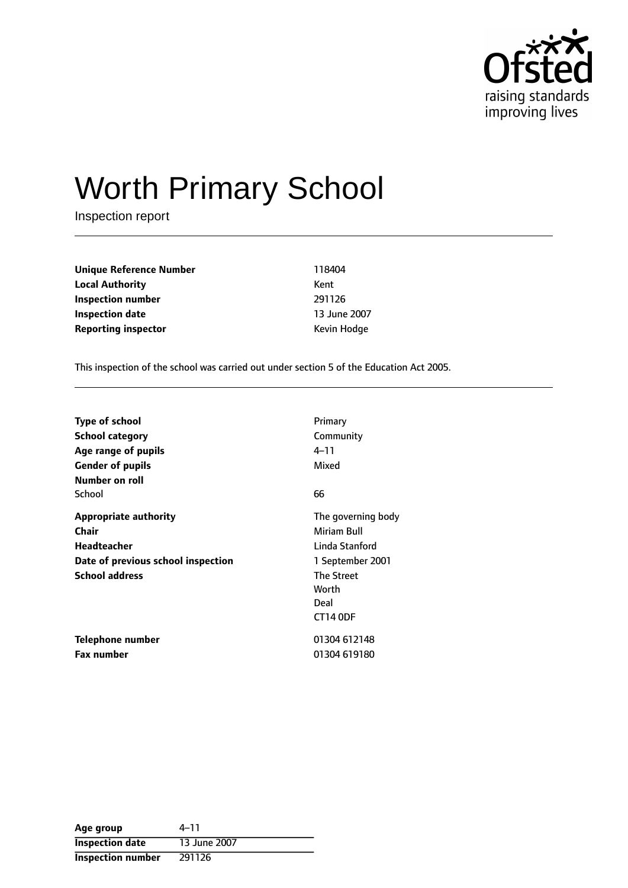

# Worth Primary School

Inspection report

| Unique Reference Number    | 118404       |
|----------------------------|--------------|
| <b>Local Authority</b>     | Kent         |
| Inspection number          | 291126       |
| <b>Inspection date</b>     | 13 June 2007 |
| <b>Reporting inspector</b> | Kevin Hodge  |

This inspection of the school was carried out under section 5 of the Education Act 2005.

| Type of school                     | Primary            |
|------------------------------------|--------------------|
| School category                    | Community          |
| Age range of pupils                | 4–11               |
| <b>Gender of pupils</b>            | Mixed              |
| Number on roll                     |                    |
| School                             | 66                 |
| <b>Appropriate authority</b>       | The governing body |
| Chair                              | Miriam Bull        |
| <b>Headteacher</b>                 | Linda Stanford     |
| Date of previous school inspection | 1 September 2001   |
| <b>School address</b>              | The Street         |
|                                    | Worth              |
|                                    | Deal               |
|                                    | <b>CT14 ODF</b>    |
| Telephone number                   | 01304 612148       |
| <b>Fax number</b>                  | 01304 619180       |

| Age group                | 4–11         |
|--------------------------|--------------|
| <b>Inspection date</b>   | 13 June 2007 |
| <b>Inspection number</b> | 291126       |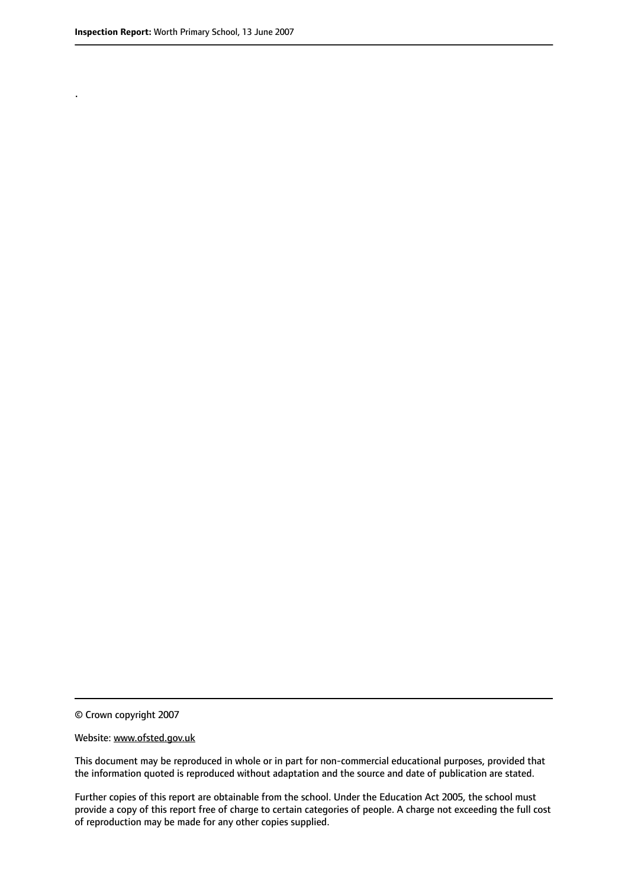.

© Crown copyright 2007

#### Website: www.ofsted.gov.uk

This document may be reproduced in whole or in part for non-commercial educational purposes, provided that the information quoted is reproduced without adaptation and the source and date of publication are stated.

Further copies of this report are obtainable from the school. Under the Education Act 2005, the school must provide a copy of this report free of charge to certain categories of people. A charge not exceeding the full cost of reproduction may be made for any other copies supplied.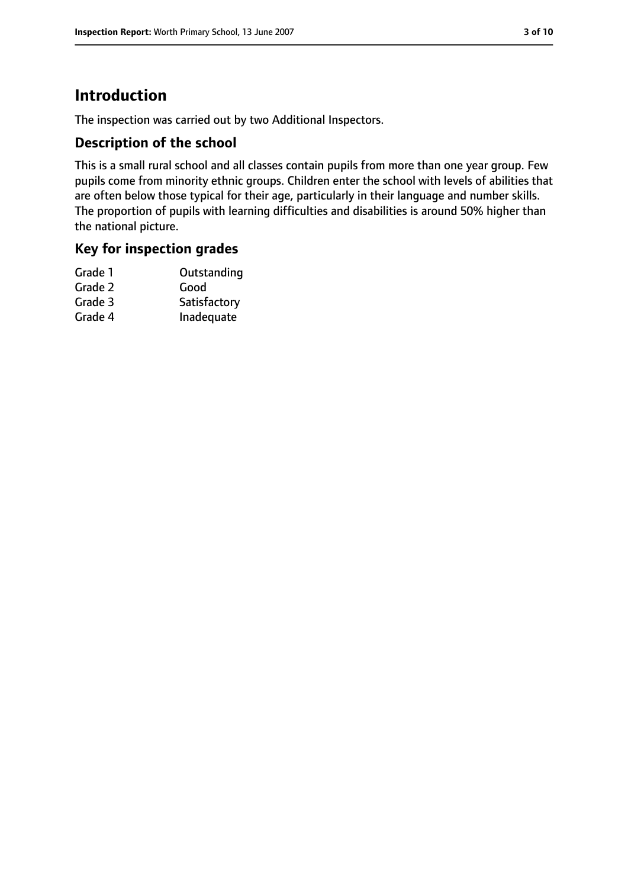## **Introduction**

The inspection was carried out by two Additional Inspectors.

#### **Description of the school**

This is a small rural school and all classes contain pupils from more than one year group. Few pupils come from minority ethnic groups. Children enter the school with levels of abilities that are often below those typical for their age, particularly in their language and number skills. The proportion of pupils with learning difficulties and disabilities is around 50% higher than the national picture.

#### **Key for inspection grades**

| Grade 1 | Outstanding  |
|---------|--------------|
| Grade 2 | Good         |
| Grade 3 | Satisfactory |
| Grade 4 | Inadequate   |
|         |              |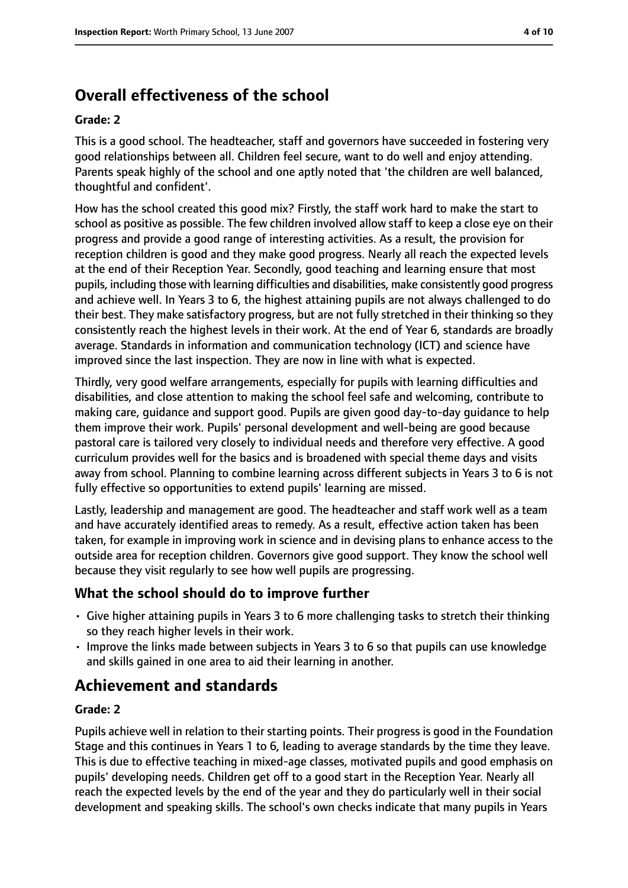# **Overall effectiveness of the school**

#### **Grade: 2**

This is a good school. The headteacher, staff and governors have succeeded in fostering very good relationships between all. Children feel secure, want to do well and enjoy attending. Parents speak highly of the school and one aptly noted that 'the children are well balanced, thoughtful and confident'.

How has the school created this good mix? Firstly, the staff work hard to make the start to school as positive as possible. The few children involved allow staff to keep a close eye on their progress and provide a good range of interesting activities. As a result, the provision for reception children is good and they make good progress. Nearly all reach the expected levels at the end of their Reception Year. Secondly, good teaching and learning ensure that most pupils, including those with learning difficulties and disabilities, make consistently good progress and achieve well. In Years 3 to 6, the highest attaining pupils are not always challenged to do their best. They make satisfactory progress, but are not fully stretched in their thinking so they consistently reach the highest levels in their work. At the end of Year 6, standards are broadly average. Standards in information and communication technology (ICT) and science have improved since the last inspection. They are now in line with what is expected.

Thirdly, very good welfare arrangements, especially for pupils with learning difficulties and disabilities, and close attention to making the school feel safe and welcoming, contribute to making care, guidance and support good. Pupils are given good day-to-day guidance to help them improve their work. Pupils' personal development and well-being are good because pastoral care is tailored very closely to individual needs and therefore very effective. A good curriculum provides well for the basics and is broadened with special theme days and visits away from school. Planning to combine learning across different subjects in Years 3 to 6 is not fully effective so opportunities to extend pupils' learning are missed.

Lastly, leadership and management are good. The headteacher and staff work well as a team and have accurately identified areas to remedy. As a result, effective action taken has been taken, for example in improving work in science and in devising plans to enhance access to the outside area for reception children. Governors give good support. They know the school well because they visit regularly to see how well pupils are progressing.

### **What the school should do to improve further**

- Give higher attaining pupils in Years 3 to 6 more challenging tasks to stretch their thinking so they reach higher levels in their work.
- Improve the links made between subjects in Years 3 to 6 so that pupils can use knowledge and skills gained in one area to aid their learning in another.

## **Achievement and standards**

#### **Grade: 2**

Pupils achieve well in relation to their starting points. Their progress is good in the Foundation Stage and this continues in Years 1 to 6, leading to average standards by the time they leave. This is due to effective teaching in mixed-age classes, motivated pupils and good emphasis on pupils' developing needs. Children get off to a good start in the Reception Year. Nearly all reach the expected levels by the end of the year and they do particularly well in their social development and speaking skills. The school's own checks indicate that many pupils in Years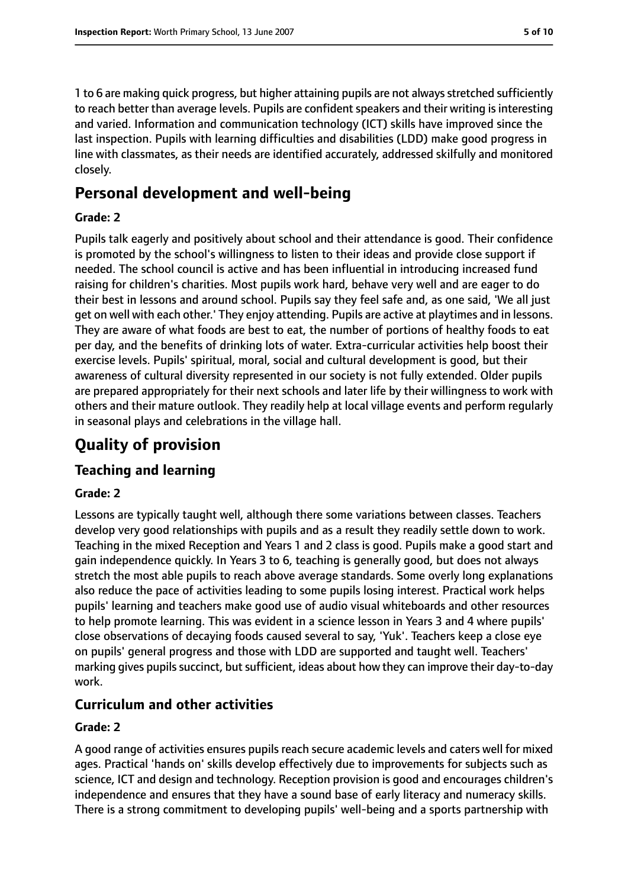1 to 6 are making quick progress, but higher attaining pupils are not alwaysstretched sufficiently to reach better than average levels. Pupils are confident speakers and their writing is interesting and varied. Information and communication technology (ICT) skills have improved since the last inspection. Pupils with learning difficulties and disabilities (LDD) make good progress in line with classmates, as their needs are identified accurately, addressed skilfully and monitored closely.

## **Personal development and well-being**

#### **Grade: 2**

Pupils talk eagerly and positively about school and their attendance is good. Their confidence is promoted by the school's willingness to listen to their ideas and provide close support if needed. The school council is active and has been influential in introducing increased fund raising for children's charities. Most pupils work hard, behave very well and are eager to do their best in lessons and around school. Pupils say they feel safe and, as one said, 'We all just get on well with each other.' They enjoy attending. Pupils are active at playtimes and in lessons. They are aware of what foods are best to eat, the number of portions of healthy foods to eat per day, and the benefits of drinking lots of water. Extra-curricular activities help boost their exercise levels. Pupils' spiritual, moral, social and cultural development is good, but their awareness of cultural diversity represented in our society is not fully extended. Older pupils are prepared appropriately for their next schools and later life by their willingness to work with others and their mature outlook. They readily help at local village events and perform regularly in seasonal plays and celebrations in the village hall.

# **Quality of provision**

### **Teaching and learning**

#### **Grade: 2**

Lessons are typically taught well, although there some variations between classes. Teachers develop very good relationships with pupils and as a result they readily settle down to work. Teaching in the mixed Reception and Years 1 and 2 class is good. Pupils make a good start and gain independence quickly. In Years 3 to 6, teaching is generally good, but does not always stretch the most able pupils to reach above average standards. Some overly long explanations also reduce the pace of activities leading to some pupils losing interest. Practical work helps pupils' learning and teachers make good use of audio visual whiteboards and other resources to help promote learning. This was evident in a science lesson in Years 3 and 4 where pupils' close observations of decaying foods caused several to say, 'Yuk'. Teachers keep a close eye on pupils' general progress and those with LDD are supported and taught well. Teachers' marking gives pupils succinct, but sufficient, ideas about how they can improve their day-to-day work.

#### **Curriculum and other activities**

#### **Grade: 2**

A good range of activities ensures pupils reach secure academic levels and caters well for mixed ages. Practical 'hands on' skills develop effectively due to improvements for subjects such as science, ICT and design and technology. Reception provision is good and encourages children's independence and ensures that they have a sound base of early literacy and numeracy skills. There is a strong commitment to developing pupils' well-being and a sports partnership with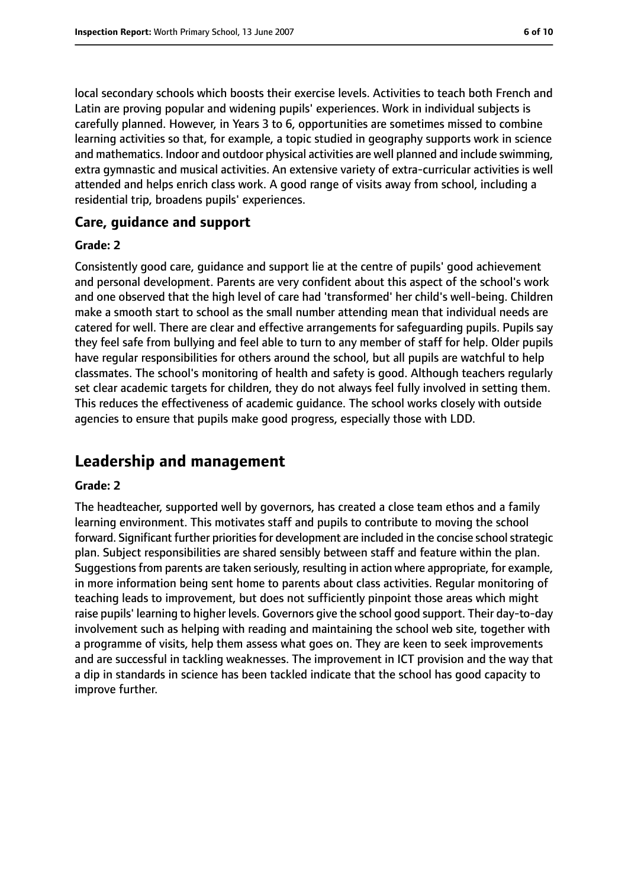local secondary schools which boosts their exercise levels. Activities to teach both French and Latin are proving popular and widening pupils' experiences. Work in individual subjects is carefully planned. However, in Years 3 to 6, opportunities are sometimes missed to combine learning activities so that, for example, a topic studied in geography supports work in science and mathematics. Indoor and outdoor physical activities are well planned and include swimming, extra gymnastic and musical activities. An extensive variety of extra-curricular activities is well attended and helps enrich class work. A good range of visits away from school, including a residential trip, broadens pupils' experiences.

#### **Care, guidance and support**

#### **Grade: 2**

Consistently good care, guidance and support lie at the centre of pupils' good achievement and personal development. Parents are very confident about this aspect of the school's work and one observed that the high level of care had 'transformed' her child's well-being. Children make a smooth start to school as the small number attending mean that individual needs are catered for well. There are clear and effective arrangements for safeguarding pupils. Pupils say they feel safe from bullying and feel able to turn to any member of staff for help. Older pupils have regular responsibilities for others around the school, but all pupils are watchful to help classmates. The school's monitoring of health and safety is good. Although teachers regularly set clear academic targets for children, they do not always feel fully involved in setting them. This reduces the effectiveness of academic guidance. The school works closely with outside agencies to ensure that pupils make good progress, especially those with LDD.

## **Leadership and management**

#### **Grade: 2**

The headteacher, supported well by governors, has created a close team ethos and a family learning environment. This motivates staff and pupils to contribute to moving the school forward. Significant further priorities for development are included in the concise school strategic plan. Subject responsibilities are shared sensibly between staff and feature within the plan. Suggestions from parents are taken seriously, resulting in action where appropriate, for example, in more information being sent home to parents about class activities. Regular monitoring of teaching leads to improvement, but does not sufficiently pinpoint those areas which might raise pupils' learning to higher levels. Governors give the school good support. Their day-to-day involvement such as helping with reading and maintaining the school web site, together with a programme of visits, help them assess what goes on. They are keen to seek improvements and are successful in tackling weaknesses. The improvement in ICT provision and the way that a dip in standards in science has been tackled indicate that the school has good capacity to improve further.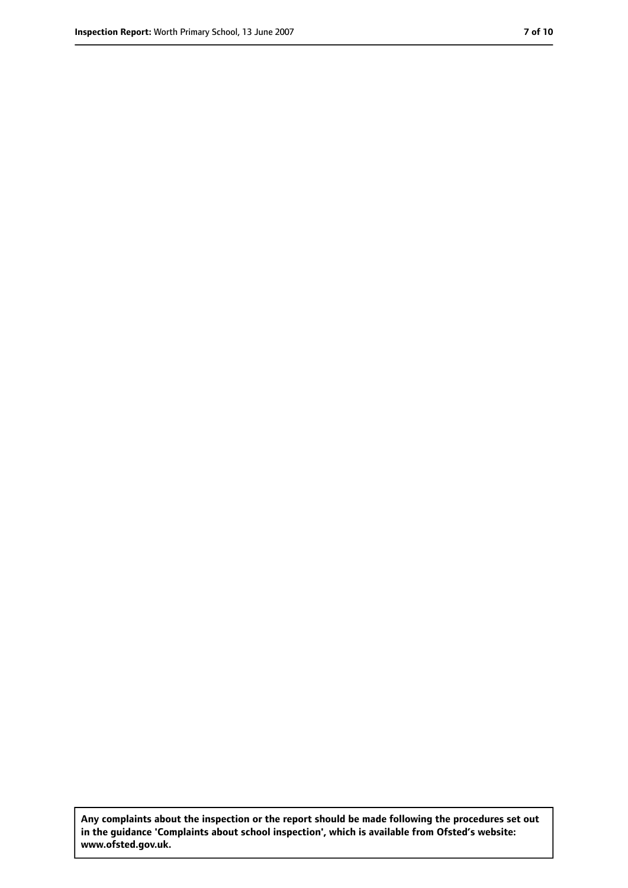**Any complaints about the inspection or the report should be made following the procedures set out in the guidance 'Complaints about school inspection', which is available from Ofsted's website: www.ofsted.gov.uk.**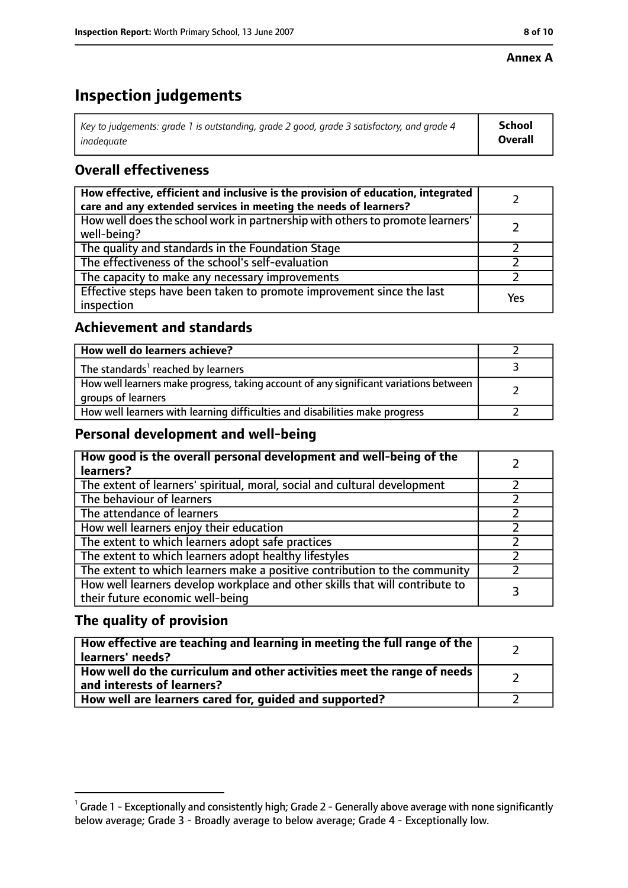#### **Annex A**

# **Inspection judgements**

| Key to judgements: grade 1 is outstanding, grade 2 good, grade 3 satisfactory, and grade 4 $\,$ | <b>School</b>  |
|-------------------------------------------------------------------------------------------------|----------------|
| inadequate                                                                                      | <b>Overall</b> |

## **Overall effectiveness**

| How effective, efficient and inclusive is the provision of education, integrated<br>care and any extended services in meeting the needs of learners? |     |
|------------------------------------------------------------------------------------------------------------------------------------------------------|-----|
| How well does the school work in partnership with others to promote learners'<br>well-being?                                                         |     |
| The quality and standards in the Foundation Stage                                                                                                    |     |
| The effectiveness of the school's self-evaluation                                                                                                    |     |
| The capacity to make any necessary improvements                                                                                                      |     |
| Effective steps have been taken to promote improvement since the last<br>inspection                                                                  | Yes |

## **Achievement and standards**

| How well do learners achieve?                                                                               |  |
|-------------------------------------------------------------------------------------------------------------|--|
| The standards <sup>1</sup> reached by learners                                                              |  |
| How well learners make progress, taking account of any significant variations between<br>groups of learners |  |
| How well learners with learning difficulties and disabilities make progress                                 |  |

### **Personal development and well-being**

| How good is the overall personal development and well-being of the<br>learners?                                  |  |
|------------------------------------------------------------------------------------------------------------------|--|
| The extent of learners' spiritual, moral, social and cultural development                                        |  |
| The behaviour of learners                                                                                        |  |
| The attendance of learners                                                                                       |  |
| How well learners enjoy their education                                                                          |  |
| The extent to which learners adopt safe practices                                                                |  |
| The extent to which learners adopt healthy lifestyles                                                            |  |
| The extent to which learners make a positive contribution to the community                                       |  |
| How well learners develop workplace and other skills that will contribute to<br>their future economic well-being |  |

## **The quality of provision**

| How effective are teaching and learning in meeting the full range of the<br>learners' needs?          |  |
|-------------------------------------------------------------------------------------------------------|--|
| How well do the curriculum and other activities meet the range of needs<br>and interests of learners? |  |
| How well are learners cared for, guided and supported?                                                |  |

 $^1$  Grade 1 - Exceptionally and consistently high; Grade 2 - Generally above average with none significantly below average; Grade 3 - Broadly average to below average; Grade 4 - Exceptionally low.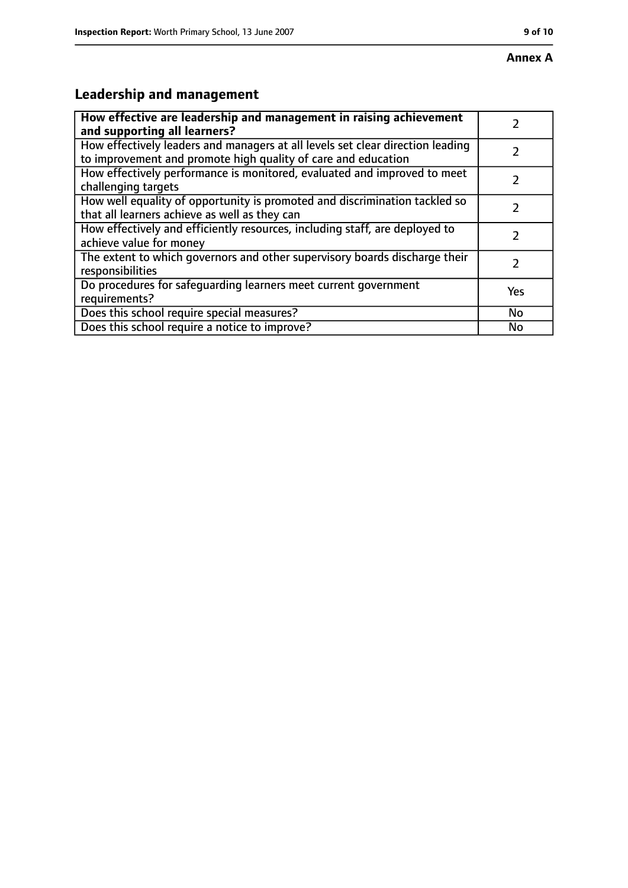# **Leadership and management**

| How effective are leadership and management in raising achievement                                                                              |               |
|-------------------------------------------------------------------------------------------------------------------------------------------------|---------------|
| and supporting all learners?                                                                                                                    |               |
| How effectively leaders and managers at all levels set clear direction leading<br>to improvement and promote high quality of care and education |               |
| How effectively performance is monitored, evaluated and improved to meet<br>challenging targets                                                 |               |
| How well equality of opportunity is promoted and discrimination tackled so<br>that all learners achieve as well as they can                     |               |
| How effectively and efficiently resources, including staff, are deployed to<br>achieve value for money                                          | 7             |
| The extent to which governors and other supervisory boards discharge their<br>responsibilities                                                  | $\mathcal{L}$ |
| Do procedures for safequarding learners meet current government<br>requirements?                                                                | Yes           |
| Does this school require special measures?                                                                                                      | No            |
| Does this school require a notice to improve?                                                                                                   | No            |